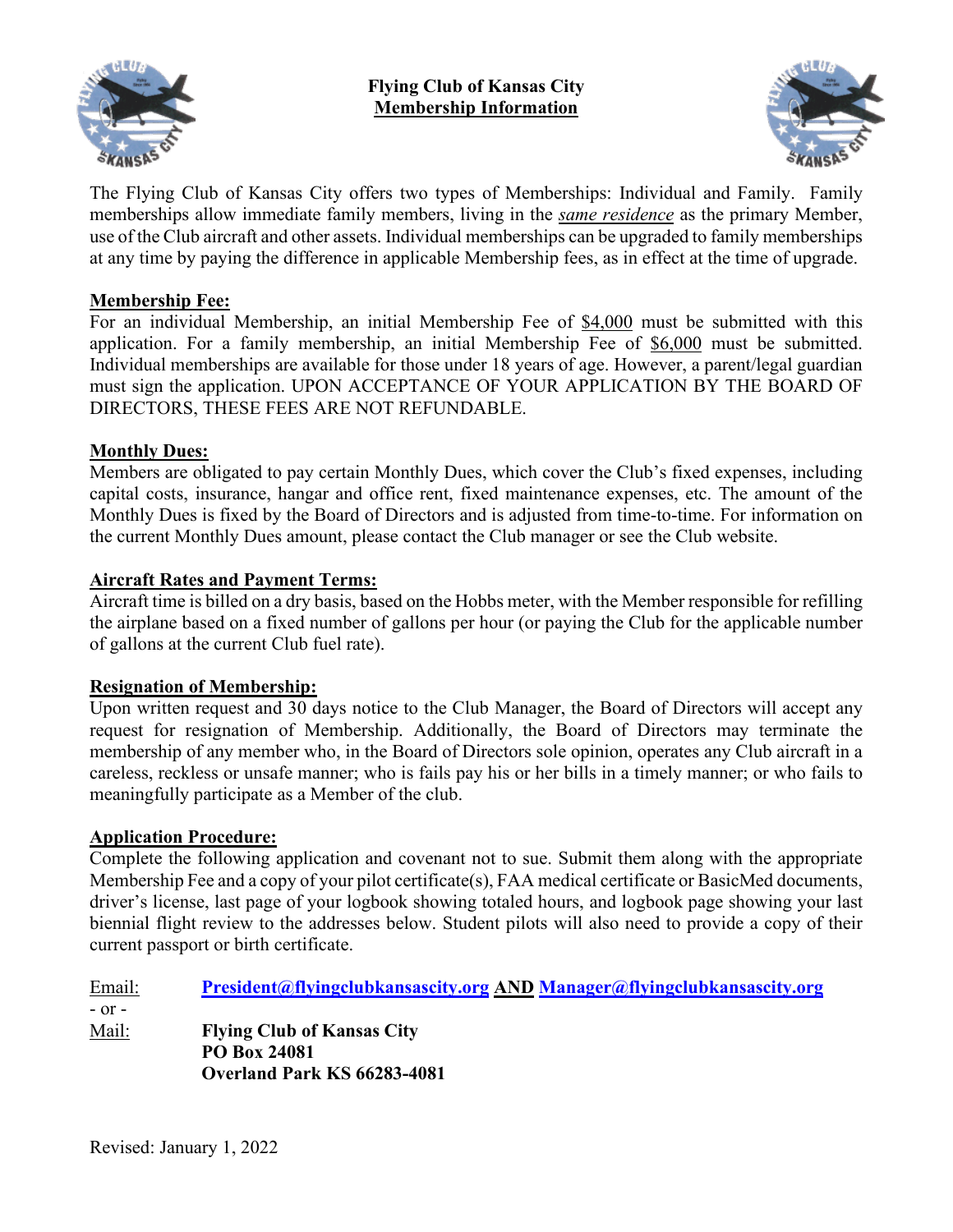



The Flying Club of Kansas City offers two types of Memberships: Individual and Family. Family memberships allow immediate family members, living in the *same residence* as the primary Member, use of the Club aircraft and other assets. Individual memberships can be upgraded to family memberships at any time by paying the difference in applicable Membership fees, as in effect at the time of upgrade.

# **Membership Fee:**

For an individual Membership, an initial Membership Fee of \$4,000 must be submitted with this application. For a family membership, an initial Membership Fee of \$6,000 must be submitted. Individual memberships are available for those under 18 years of age. However, a parent/legal guardian must sign the application. UPON ACCEPTANCE OF YOUR APPLICATION BY THE BOARD OF DIRECTORS, THESE FEES ARE NOT REFUNDABLE.

# **Monthly Dues:**

Members are obligated to pay certain Monthly Dues, which cover the Club's fixed expenses, including capital costs, insurance, hangar and office rent, fixed maintenance expenses, etc. The amount of the Monthly Dues is fixed by the Board of Directors and is adjusted from time-to-time. For information on the current Monthly Dues amount, please contact the Club manager or see the Club website.

## **Aircraft Rates and Payment Terms:**

Aircraft time is billed on a dry basis, based on the Hobbs meter, with the Member responsible for refilling the airplane based on a fixed number of gallons per hour (or paying the Club for the applicable number of gallons at the current Club fuel rate).

## **Resignation of Membership:**

Upon written request and 30 days notice to the Club Manager, the Board of Directors will accept any request for resignation of Membership. Additionally, the Board of Directors may terminate the membership of any member who, in the Board of Directors sole opinion, operates any Club aircraft in a careless, reckless or unsafe manner; who is fails pay his or her bills in a timely manner; or who fails to meaningfully participate as a Member of the club.

## **Application Procedure:**

Complete the following application and covenant not to sue. Submit them along with the appropriate Membership Fee and a copy of your pilot certificate(s), FAA medical certificate or BasicMed documents, driver's license, last page of your logbook showing totaled hours, and logbook page showing your last biennial flight review to the addresses below. Student pilots will also need to provide a copy of their current passport or birth certificate.

Email: **[President@flyingclubkansascity.org](mailto:President@flyingclubkansascity.org) AND [Manager@flyingclubkansascity.org](mailto:Manager@flyingclubkansascity.org)** - or - Mail: **Flying Club of Kansas City PO Box 24081 Overland Park KS 66283-4081**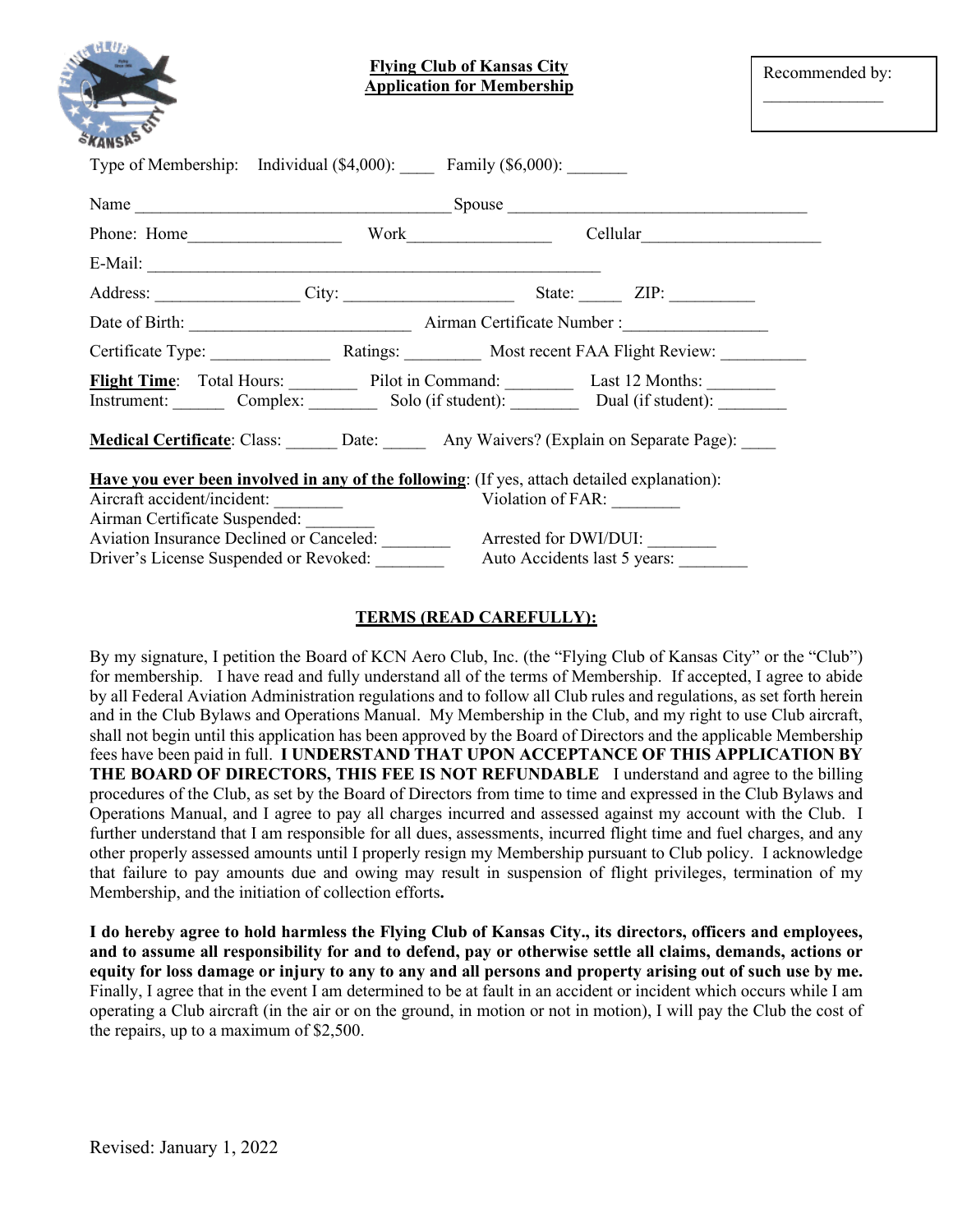|                               | <b>Flying Club of Kansas City</b><br><b>Application for Membership</b>                                                              |                                                                                             |  | Recommended by: |
|-------------------------------|-------------------------------------------------------------------------------------------------------------------------------------|---------------------------------------------------------------------------------------------|--|-----------------|
|                               | Type of Membership: Individual (\$4,000): Family (\$6,000): ______                                                                  |                                                                                             |  |                 |
|                               |                                                                                                                                     |                                                                                             |  |                 |
|                               |                                                                                                                                     |                                                                                             |  |                 |
|                               |                                                                                                                                     |                                                                                             |  |                 |
|                               |                                                                                                                                     |                                                                                             |  |                 |
|                               |                                                                                                                                     |                                                                                             |  |                 |
|                               | Certificate Type: Ratings: Most recent FAA Flight Review:                                                                           |                                                                                             |  |                 |
|                               | Flight Time: Total Hours: Pilot in Command: Last 12 Months: _________<br>Instrument: Complex: Solo (if student): Dual (if student): |                                                                                             |  |                 |
|                               | Medical Certificate: Class: Date: Date: Any Waivers? (Explain on Separate Page): ___                                                |                                                                                             |  |                 |
|                               | Have you ever been involved in any of the following: (If yes, attach detailed explanation):                                         |                                                                                             |  |                 |
| Aircraft accident/incident:   |                                                                                                                                     | Violation of FAR:                                                                           |  |                 |
| Airman Certificate Suspended: |                                                                                                                                     |                                                                                             |  |                 |
|                               |                                                                                                                                     |                                                                                             |  |                 |
|                               |                                                                                                                                     | Driver's License Suspended or Revoked: _____________ Auto Accidents last 5 years: _________ |  |                 |

#### **TERMS (READ CAREFULLY):**

By my signature, I petition the Board of KCN Aero Club, Inc. (the "Flying Club of Kansas City" or the "Club") for membership. I have read and fully understand all of the terms of Membership. If accepted, I agree to abide by all Federal Aviation Administration regulations and to follow all Club rules and regulations, as set forth herein and in the Club Bylaws and Operations Manual. My Membership in the Club, and my right to use Club aircraft, shall not begin until this application has been approved by the Board of Directors and the applicable Membership fees have been paid in full. **I UNDERSTAND THAT UPON ACCEPTANCE OF THIS APPLICATION BY THE BOARD OF DIRECTORS, THIS FEE IS NOT REFUNDABLE** I understand and agree to the billing procedures of the Club, as set by the Board of Directors from time to time and expressed in the Club Bylaws and Operations Manual, and I agree to pay all charges incurred and assessed against my account with the Club. I further understand that I am responsible for all dues, assessments, incurred flight time and fuel charges, and any other properly assessed amounts until I properly resign my Membership pursuant to Club policy. I acknowledge that failure to pay amounts due and owing may result in suspension of flight privileges, termination of my Membership, and the initiation of collection efforts**.**

**I do hereby agree to hold harmless the Flying Club of Kansas City., its directors, officers and employees, and to assume all responsibility for and to defend, pay or otherwise settle all claims, demands, actions or equity for loss damage or injury to any to any and all persons and property arising out of such use by me.** Finally, I agree that in the event I am determined to be at fault in an accident or incident which occurs while I am operating a Club aircraft (in the air or on the ground, in motion or not in motion), I will pay the Club the cost of the repairs, up to a maximum of \$2,500.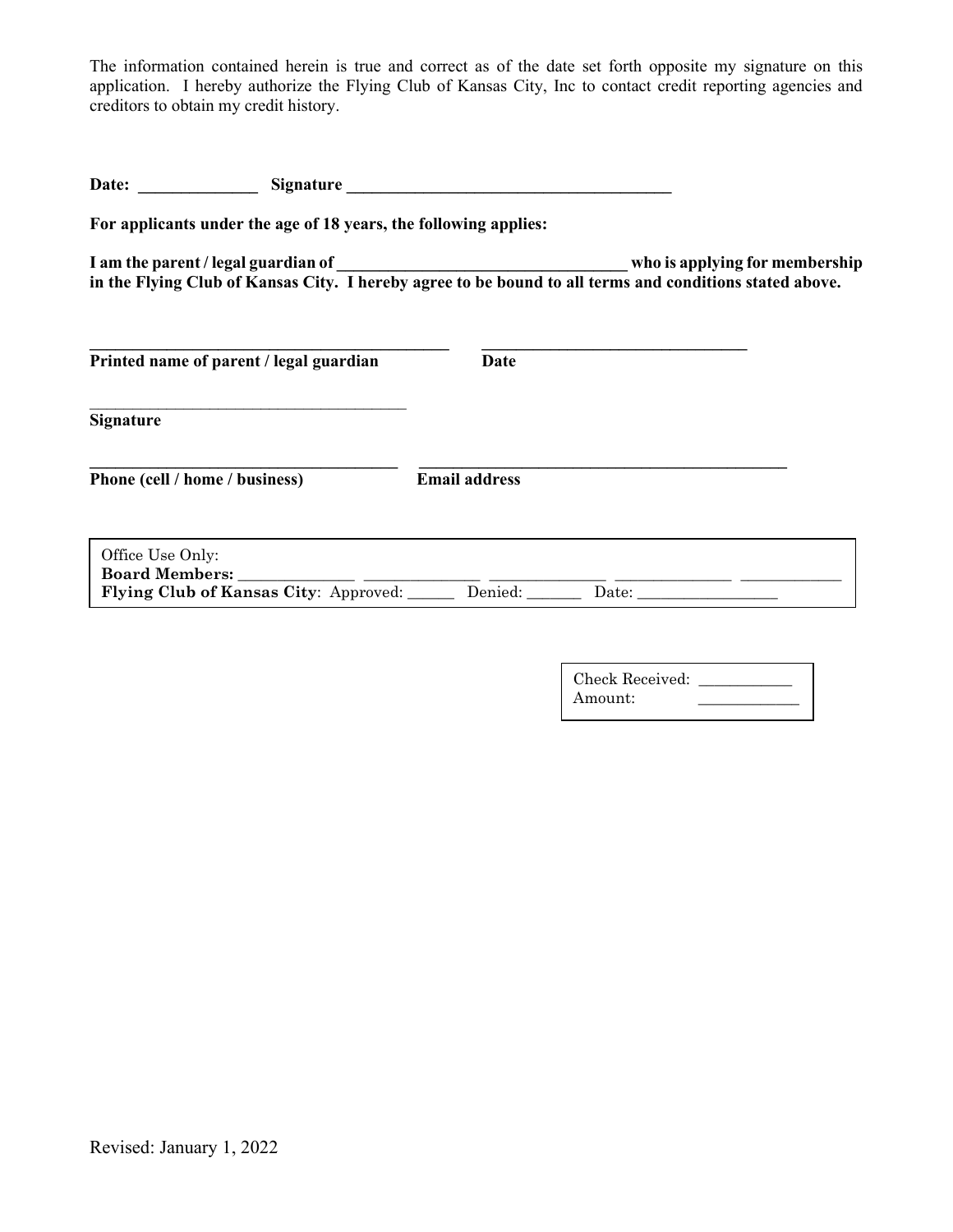The information contained herein is true and correct as of the date set forth opposite my signature on this application. I hereby authorize the Flying Club of Kansas City, Inc to contact credit reporting agencies and creditors to obtain my credit history.

|                  |                                                                  | Date: Signature      |                                                                                                         |
|------------------|------------------------------------------------------------------|----------------------|---------------------------------------------------------------------------------------------------------|
|                  | For applicants under the age of 18 years, the following applies: |                      |                                                                                                         |
|                  |                                                                  |                      |                                                                                                         |
|                  |                                                                  |                      | in the Flying Club of Kansas City. I hereby agree to be bound to all terms and conditions stated above. |
|                  | Printed name of parent / legal guardian                          | Date                 |                                                                                                         |
| <b>Signature</b> |                                                                  |                      |                                                                                                         |
|                  | Phone (cell / home / business)                                   | <b>Email address</b> |                                                                                                         |
| Office Use Only: |                                                                  |                      |                                                                                                         |
|                  |                                                                  |                      | Flying Club of Kansas City: Approved: Denied: Date: Date: Date:                                         |
|                  |                                                                  |                      |                                                                                                         |

| Check Received: |  |
|-----------------|--|
| Amount:         |  |